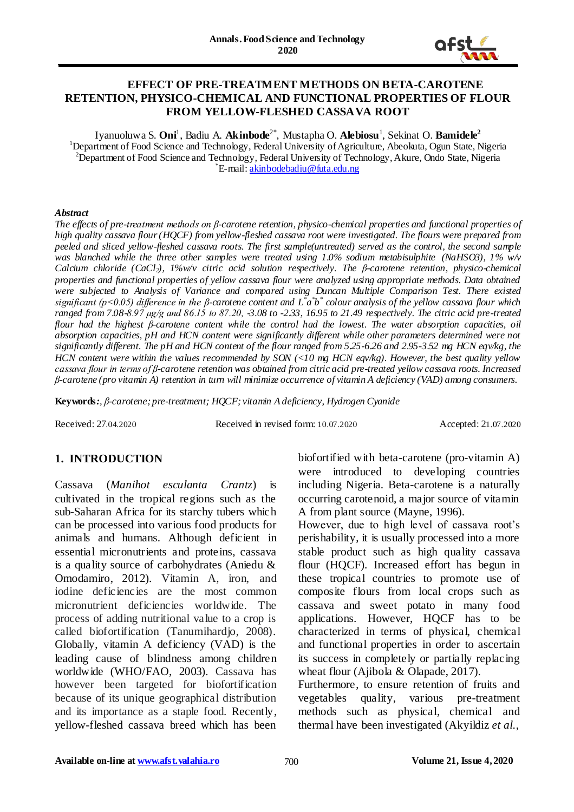

### **EFFECT OF PRE-TREATMENT METHODS ON BETA-CAROTENE RETENTION, PHYSICO-CHEMICAL AND FUNCTIONAL PROPERTIES OF FLOUR FROM YELLOW-FLESHED CASSAVA ROOT**

Iyanuoluwa S. **Oni<sup>1</sup>, Badiu A. Akinbode<sup>2\*</sup>, Mustapha O. <b>Alebiosu<sup>1</sup>, Sekinat O. <b>Bamidele**<sup>2</sup> <sup>1</sup>Department of Food Science and Technology, Federal University of Agriculture, Abeokuta, Ogun State, Nigeria <sup>2</sup>Department of Food Science and Technology, Federal University of Technology, Akure, Ondo State, Nigeria <sup>\*</sup>E-mail: **[akinbodebadiu@futa.edu.ng](mailto:akinbodebadiu@futa.edu.ng)** 

#### *Abstract*

*The effects of pre-treatment methods on β-carotene retention, physico-chemical properties and functional properties of high quality cassava flour (HQCF) from yellow-fleshed cassava root were investigated. The flours were prepared from* peeled and sliced vellow-fleshed cassava roots. The first sample(untreated) served as the control, the second sample *was blanched while the three other samples were treated using 1.0% sodium metabisulphite (NaHSO3), 1% w/v Calcium chloride (CaCl2), 1%w/v citric acid solution respectively. The β-carotene retention, physico-chemical properties and functional properties of yellow cassava flour were analyzed using appropriate methods. Data obtained were subjected to Analysis of Variance and compared using Duncan Multiple Comparison Test. There existed significant (p˂0.05) difference in the β-carotene content and L\* a \* b \* colour analysis of the yellow cassava flour which ranged from 7.08-8.97 μg/g and 86.15 to 87.20, -3.08 to -2.33, 16.95 to 21.49 respectively. The citric acid pre-treated* flour had the highest B-carotene content while the control had the lowest. The water absorption capacities, oil *absorption capacities, pH and HCN content were significantly different while other parameters determined were not significantly different. The pH and HCN content of the flour ranged from 5.25-6.26 and 2.95-3.52 mg HCN eqv/kg, the HCN content were within the values recommended by SON (<10 mg HCN eqv/kg). However, the best quality yellow cassava flour in terms of β-carotene retention was obtained from citric acid pre-treated yellow cassava roots. Increased β-carotene (pro vitamin A) retention in turn will minimize occurrence of vitamin A deficiency (VAD) among consumers.*

**Keywords***:, β-carotene; pre-treatment; HQCF; vitamin A deficiency, Hydrogen Cyanide*

Received: 27.04.2020 Received in revised form: 10.07.2020 Accepted: 21.07.2020

# **1. INTRODUCTION**

Cassava (*Manihot esculanta Crantz*) is cultivated in the tropical regions such as the sub-Saharan Africa for its starchy tubers which can be processed into various food products for animals and humans. Although deficient in essential micronutrients and proteins, cassava is a quality source of carbohydrates (Aniedu & Omodamiro, 2012). Vitamin A, iron, and iodine deficiencies are the most common micronutrient deficiencies worldwide. The process of adding nutritional value to a crop is called biofortification (Tanumihardjo, 2008). Globally, vitamin A deficiency (VAD) is the leading cause of blindness among children worldwide (WHO/FAO, 2003). Cassava has however been targeted for biofortification because of its unique geographical distribution and its importance as a staple food. Recently, yellow-fleshed cassava breed which has been

biofortified with beta-carotene (pro-vitamin A) were introduced to developing countries including Nigeria. Beta-carotene is a naturally occurring carotenoid, a major source of vitamin A from plant source (Mayne, 1996).

However, due to high level of cassava root's perishability, it is usually processed into a more stable product such as high quality cassava flour (HQCF). Increased effort has begun in these tropical countries to promote use of composite flours from local crops such as cassava and sweet potato in many food applications. However, HQCF has to be characterized in terms of physical, chemical and functional properties in order to ascertain its success in completely or partially replacing wheat flour (Ajibola & Olapade, 2017).

Furthermore, to ensure retention of fruits and vegetables quality, various pre-treatment methods such as physical, chemical and thermal have been investigated (Akyildiz *et al.*,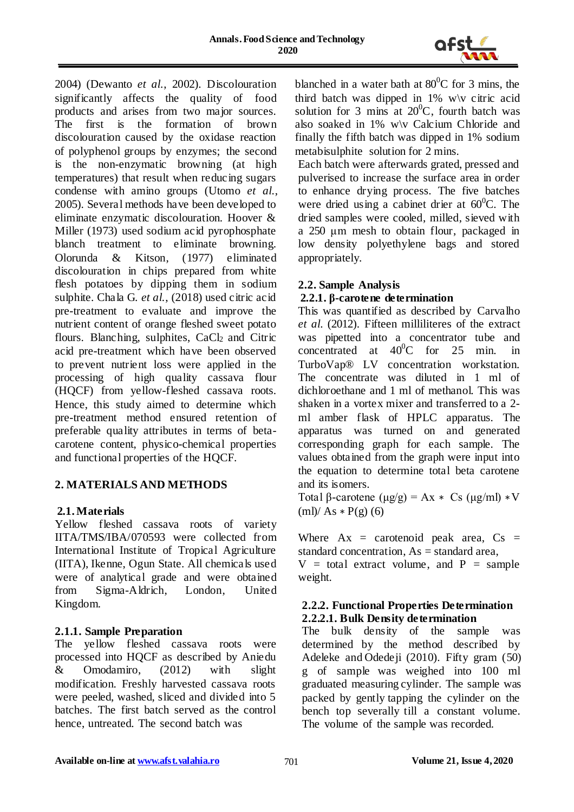

2004) (Dewanto *et al.*, 2002). Discolouration significantly affects the quality of food products and arises from two major sources. The first is the formation of brown discolouration caused by the oxidase reaction of polyphenol groups by enzymes; the second is the non-enzymatic browning (at high temperatures) that result when reducing sugars condense with amino groups (Utomo *et al.*, 2005). Several methods have been developed to eliminate enzymatic discolouration. Hoover & Miller (1973) used sodium acid pyrophosphate blanch treatment to eliminate browning. Olorunda & Kitson, (1977) eliminated discolouration in chips prepared from white flesh potatoes by dipping them in sodium sulphite. Chala G. *et al.*, (2018) used citric acid pre-treatment to evaluate and improve the nutrient content of orange fleshed sweet potato flours. Blanching, sulphites,  $CaCl<sub>2</sub>$  and Citric acid pre-treatment which have been observed to prevent nutrient loss were applied in the processing of high quality cassava flour (HQCF) from yellow-fleshed cassava roots. Hence, this study aimed to determine which pre-treatment method ensured retention of preferable quality attributes in terms of betacarotene content, physico-chemical properties and functional properties of the HQCF.

# **2. MATERIALS AND METHODS**

# **2.1. Materials**

Yellow fleshed cassava roots of variety IITA/TMS/IBA/070593 were collected from International Institute of Tropical Agriculture (IITA), Ikenne, Ogun State. All chemicals used were of analytical grade and were obtained from Sigma-Aldrich, London, United Kingdom.

# **2.1.1. Sample Preparation**

The yellow fleshed cassava roots were processed into HQCF as described by Aniedu & Omodamiro, (2012) with slight modification. Freshly harvested cassava roots were peeled, washed, sliced and divided into 5 batches. The first batch served as the control hence, untreated. The second batch was

blanched in a water bath at  $80^{\circ}$ C for 3 mins, the third batch was dipped in  $1\%$  w $\vee$  citric acid solution for 3 mins at  $20^0$ C, fourth batch was also soaked in 1% w\v Calcium Chloride and finally the fifth batch was dipped in 1% sodium metabisulphite solution for 2 mins.

Each batch were afterwards grated, pressed and pulverised to increase the surface area in order to enhance drying process. The five batches were dried using a cabinet drier at  $60^{\circ}$ C. The dried samples were cooled, milled, sieved with a 250 μm mesh to obtain flour, packaged in low density polyethylene bags and stored appropriately.

### **2.2. Sample Analysis**

# **2.2.1. β-carotene determination**

This was quantified as described by Carvalho *et al.* (2012). Fifteen milliliteres of the extract was pipetted into a concentrator tube and concentrated at  $40^{\circ}$ C for 25 min. in TurboVap® LV concentration workstation. The concentrate was diluted in 1 ml of dichloroethane and 1 ml of methanol. This was shaken in a vortex mixer and transferred to a 2 ml amber flask of HPLC apparatus. The apparatus was turned on and generated corresponding graph for each sample. The values obtained from the graph were input into the equation to determine total beta carotene and its isomers.

Total β-carotene (μg/g) = Ax  $\ast$  Cs (μg/ml)  $\ast$ V  $(ml)/ As * P(g) (6)$ 

Where  $Ax =$  carotenoid peak area,  $Cs =$ standard concentration,  $As = standard area$ ,

 $V = total extract volume, and P = sample$ weight.

### **2.2.2. Functional Properties Determination 2.2.2.1. Bulk Density determination**

The bulk density of the sample was determined by the method described by Adeleke and Odedeji (2010). Fifty gram (50) g of sample was weighed into 100 ml graduated measuring cylinder. The sample was packed by gently tapping the cylinder on the bench top severally till a constant volume. The volume of the sample was recorded.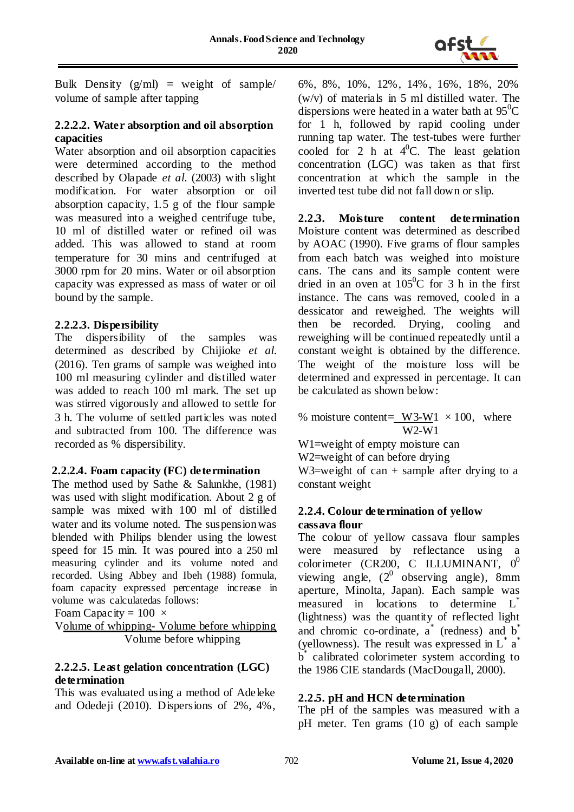

Bulk Density  $(g/ml)$  = weight of sample/ volume of sample after tapping

### **2.2.2.2. Water absorption and oil absorption capacities**

Water absorption and oil absorption capacities were determined according to the method described by Olapade *et al.* (2003) with slight modification. For water absorption or oil absorption capacity, 1.5 g of the flour sample was measured into a weighed centrifuge tube, 10 ml of distilled water or refined oil was added. This was allowed to stand at room temperature for 30 mins and centrifuged at 3000 rpm for 20 mins. Water or oil absorption capacity was expressed as mass of water or oil bound by the sample.

# **2.2.2.3. Dispersibility**

The dispersibility of the samples was determined as described by Chijioke *et al.* (2016). Ten grams of sample was weighed into 100 ml measuring cylinder and distilled water was added to reach 100 ml mark. The set up was stirred vigorously and allowed to settle for 3 h. The volume of settled particles was noted and subtracted from 100. The difference was recorded as % dispersibility.

# **2.2.2.4. Foam capacity (FC) determination**

The method used by Sathe & Salunkhe, (1981) was used with slight modification. About 2 g of sample was mixed with 100 ml of distilled water and its volume noted. The suspensionwas blended with Philips blender using the lowest speed for 15 min. It was poured into a 250 ml measuring cylinder and its volume noted and recorded. Using Abbey and Ibeh (1988) formula, foam capacity expressed percentage increase in volume was calculatedas follows:

```
Foam Capacity = 100 \times
```
Volume of whipping- Volume before whipping Volume before whipping

# **2.2.2.5. Least gelation concentration (LGC) determination**

This was evaluated using a method of Adeleke and Odedeji (2010). Dispersions of 2%, 4%,

6%, 8%, 10%, 12%, 14%, 16%, 18%, 20% (w/v) of materials in 5 ml distilled water. The dispersions were heated in a water bath at  $95^{\circ}$ C for 1 h, followed by rapid cooling under running tap water. The test-tubes were further cooled for 2 h at  $4^0C$ . The least gelation concentration (LGC) was taken as that first concentration at which the sample in the inverted test tube did not fall down or slip.

**2.2.3. Moisture content determination** Moisture content was determined as described by AOAC (1990). Five grams of flour samples from each batch was weighed into moisture cans. The cans and its sample content were dried in an oven at  $105^{\circ}$ C for 3 h in the first instance. The cans was removed, cooled in a dessicator and reweighed. The weights will then be recorded. Drying, cooling and reweighing will be continued repeatedly until a constant weight is obtained by the difference. The weight of the moisture loss will be determined and expressed in percentage. It can be calculated as shown below:

% moisture content=  $W3-W1 \times 100$ , where W2-W1 W1=weight of empty moisture can

W<sub>2</sub>=weight of can before drying

W3=weight of can  $+$  sample after drying to a constant weight

# **2.2.4. Colour determination of yellow cassava flour**

The colour of yellow cassava flour samples were measured by reflectance using a colorimeter (CR200, C ILLUMINANT,  $0^0$ viewing angle,  $(2^0)$  observing angle), 8mm aperture, Minolta, Japan). Each sample was measured in locations to determine L<sup>\*</sup> (lightness) was the quantity of reflected light and chromic co-ordinate, a<sup>\*</sup> (redness) and b<sup>\*</sup> (yellowness). The result was expressed in  $L^*$  a<sup>\*</sup> b \* calibrated colorimeter system according to the 1986 CIE standards (MacDougall, 2000).

# **2.2.5. pH and HCN determination**

The pH of the samples was measured with a pH meter. Ten grams (10 g) of each sample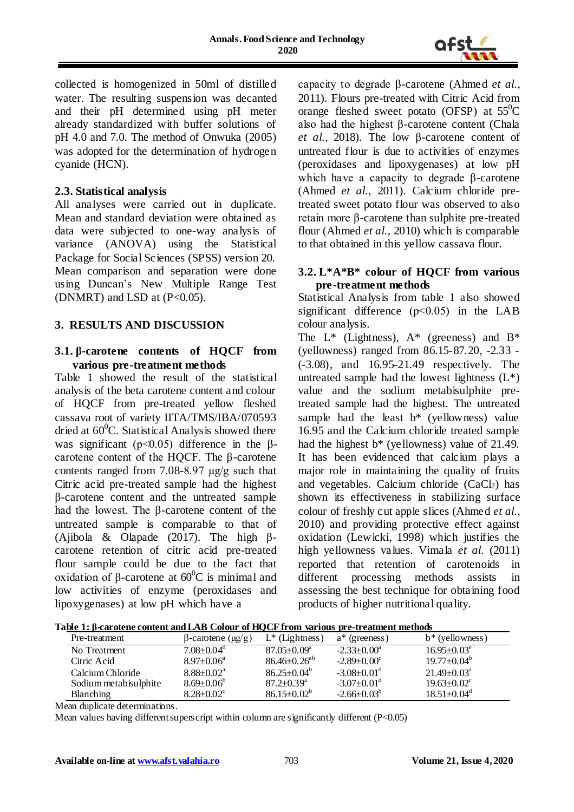

collected is homogenized in 50ml of distilled water. The resulting suspension was decanted and their pH determined using pH meter already standardized with buffer solutions of pH 4.0 and 7.0. The method of Onwuka (2005) was adopted for the determination of hydrogen cyanide (HCN).

### **2.3. Statistical analysis**

All analyses were carried out in duplicate. Mean and standard deviation were obtained as data were subjected to one-way analysis of variance (ANOVA) using the Statistical Package for Social Sciences (SPSS) version 20. Mean comparison and separation were done using Duncan's New Multiple Range Test (DNMRT) and LSD at  $(P<0.05)$ .

# **3. RESULTS AND DISCUSSION**

### **3.1. β-carotene contents of HQCF from various pre-treatment methods**

Table 1 showed the result of the statistical analysis of the beta carotene content and colour of HQCF from pre-treated yellow fleshed cassava root of variety IITA/TMS/IBA/070593 dried at  $60^{\circ}$ C. Statistical Analysis showed there was significant ( $p<0.05$ ) difference in the  $\beta$ carotene content of the HQCF. The β-carotene contents ranged from 7.08-8.97 μg/g such that Citric acid pre-treated sample had the highest β-carotene content and the untreated sample had the lowest. The β-carotene content of the untreated sample is comparable to that of (Ajibola & Olapade (2017). The high βcarotene retention of citric acid pre-treated flour sample could be due to the fact that oxidation of β-carotene at  $60^{\circ}$ C is minimal and low activities of enzyme (peroxidases and lipoxygenases) at low pH which have a

capacity to degrade β-carotene (Ahmed *et al.*, 2011). Flours pre-treated with Citric Acid from orange fleshed sweet potato (OFSP) at  $55^{\circ}$ C also had the highest β-carotene content (Chala *et al.,* 2018). The low β-carotene content of untreated flour is due to activities of enzymes (peroxidases and lipoxygenases) at low pH which have a capacity to degrade β-carotene (Ahmed *et al.,* 2011). Calcium chloride pretreated sweet potato flour was observed to also retain more β-carotene than sulphite pre-treated flour (Ahmed *et al.,* 2010) which is comparable to that obtained in this yellow cassava flour.

### **3.2. L\*A\*B\* colour of HQCF from various pre-treatment methods**

Statistical Analysis from table 1 also showed significant difference (p˂0.05) in the LAB colour analysis.

The  $L^*$  (Lightness),  $A^*$  (greeness) and  $B^*$ (yellowness) ranged from 86.15-87.20, -2.33 - (-3.08), and 16.95-21.49 respectively. The untreated sample had the lowest lightness  $(L^*)$ value and the sodium metabisulphite pretreated sample had the highest. The untreated sample had the least  $b^*$  (yellowness) value 16.95 and the Calcium chloride treated sample had the highest  $b^*$  (yellowness) value of 21.49. It has been evidenced that calcium plays a major role in maintaining the quality of fruits and vegetables. Calcium chloride  $(CaCl<sub>2</sub>)$  has shown its effectiveness in stabilizing surface colour of freshly cut apple slices (Ahmed *et al.*, 2010) and providing protective effect against oxidation (Lewicki, 1998) which justifies the high yellowness values. Vimala *et al.* (2011) reported that retention of carotenoids in different processing methods assists in assessing the best technique for obtaining food products of higher nutritional quality.

| rabic 1. p carotene content and late colour of holder if one various pre-treatment includus |                               |                               |                               |  |  |  |  |
|---------------------------------------------------------------------------------------------|-------------------------------|-------------------------------|-------------------------------|--|--|--|--|
| $\beta$ -carotene (µg/g)                                                                    | $L^*$ (Lightness)             | $a^*$ (greeness)              | $b^*$ (yellowness)            |  |  |  |  |
| $7.08 \pm 0.04$ <sup>d</sup>                                                                | $87.05 \pm 0.09^{\mathrm{a}}$ | $-2.33 \pm 0.00^a$            | $16.95 \pm 0.03^e$            |  |  |  |  |
| $8.97 \pm 0.06^{\circ}$                                                                     | $86.46 \pm 0.26^{ab}$         | $-2.89 \pm 0.00^{\circ}$      | $19.77 \pm 0.04^b$            |  |  |  |  |
| $8.88 \pm 0.02^{\text{a}}$                                                                  | $86.25 \pm 0.04^b$            | $-3.08 \pm 0.01$ <sup>d</sup> | $21.49 \pm 0.03^{\circ}$      |  |  |  |  |
| $8.69 \pm 0.06^b$                                                                           | $87.2 \pm 0.39$ <sup>a</sup>  | $-3.07 \pm 0.01$ <sup>d</sup> | $19.63 \pm 0.02$ <sup>c</sup> |  |  |  |  |
| $8.28 \pm 0.02$ <sup>c</sup>                                                                | $86.15 \pm 0.02^{\circ}$      | $-2.66 \pm 0.03^{\circ}$      | $18.51 \pm 0.04$ <sup>d</sup> |  |  |  |  |
|                                                                                             |                               |                               |                               |  |  |  |  |

**Table 1: β-carotene content andLAB Colour of HQCF from various pre-treatment methods**

Mean duplicate determinations.

Mean values having different superscript within column are significantly different  $(P<0.05)$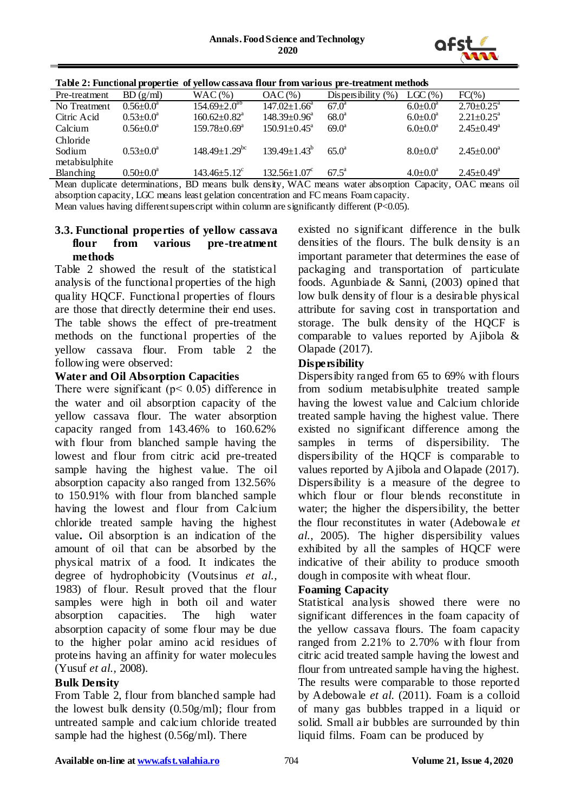

| Table 2: Functional properties of yellow cassava flour from various pre-treatment methods |                        |                                 |                                |                                                                                                                                                                                                                                                                |                 |                              |  |
|-------------------------------------------------------------------------------------------|------------------------|---------------------------------|--------------------------------|----------------------------------------------------------------------------------------------------------------------------------------------------------------------------------------------------------------------------------------------------------------|-----------------|------------------------------|--|
| Pre-treatment                                                                             | BD(g/ml)               | $WAC \left( % \right)$          | $OAC \left( % \right)$         | Dispersibility $(\% )$                                                                                                                                                                                                                                         | $LGC$ (%)       | $FC(\% )$                    |  |
| No Treatment                                                                              | $0.56 \pm 0.0^{\circ}$ | $154.69 \pm 2.0^{ab}$           | $147.02 \pm 1.66^{\circ}$      | $67.0^{\circ}$                                                                                                                                                                                                                                                 | $6.0 \pm 0.0^a$ | $2.70 \pm 0.25$ <sup>a</sup> |  |
| Citric Acid                                                                               | $0.53 \pm 0.0^{\circ}$ | $160.62 \pm 0.82$ <sup>a</sup>  | $148.39 \pm 0.96^a$            | $68.0^{\circ}$                                                                                                                                                                                                                                                 | $6.0 \pm 0.0^a$ | $2.21 \pm 0.25$ <sup>a</sup> |  |
| Calcium                                                                                   | $0.56 \pm 0.0^a$       | $159.78 \pm 0.69^{\mathrm{a}}$  | $150.91 \pm 0.45$ <sup>a</sup> | $69.0^{\circ}$                                                                                                                                                                                                                                                 | $6.0 \pm 0.0^a$ | $2.45 \pm 0.49^{\circ}$      |  |
| Chloride                                                                                  |                        |                                 |                                |                                                                                                                                                                                                                                                                |                 |                              |  |
| Sodium                                                                                    | $0.53 \pm 0.0^a$       | $148.49 \pm 1.29$ <sup>bc</sup> | $139.49 \pm 1.43^b$            | $650^{\circ}$                                                                                                                                                                                                                                                  | $8.0 \pm 0.0^a$ | $2.45 \pm 0.00^a$            |  |
| metabisulphite                                                                            |                        |                                 |                                |                                                                                                                                                                                                                                                                |                 |                              |  |
| <b>Blanching</b>                                                                          | $0.50 \pm 0.0^{\circ}$ | $143.46 \pm 5.12$ <sup>c</sup>  | $132.56 \pm 1.07^c$            | $67.5^{\circ}$                                                                                                                                                                                                                                                 | $4.0 \pm 0.0^a$ | $2.45 \pm 0.49^{\circ}$      |  |
|                                                                                           |                        |                                 |                                | $M = 1$ $N = 1$ $N = 1$ $N = 1$ $N = 1$ $N = 1$ $N = 1$ $N = 1$ $N = 1$ $N = 1$ $N = 1$ $N = 1$ $N = 1$ $N = 1$ $N = 1$ $N = 1$ $N = 1$ $N = 1$ $N = 1$ $N = 1$ $N = 1$ $N = 1$ $N = 1$ $N = 1$ $N = 1$ $N = 1$ $N = 1$ $N = 1$ $N = 1$ $N = 1$ $N = 1$ $N = $ |                 |                              |  |

Mean duplicate determinations, BD means bulk density, WAC means water absorption Capacity, OAC means oil absorption capacity, LGC means least gelation concentration and FC means Foam capacity.

Mean values having different superscript within column are significantly different (P<0.05).

#### **3.3. Functional properties of yellow cassava flour from various pre-treatment methods**

Table 2 showed the result of the statistical analysis of the functional properties of the high quality HQCF. Functional properties of flours are those that directly determine their end uses. The table shows the effect of pre-treatment methods on the functional properties of the yellow cassava flour. From table 2 the following were observed:

### **Water and Oil Absorption Capacities**

There were significant ( $p < 0.05$ ) difference in the water and oil absorption capacity of the yellow cassava flour. The water absorption capacity ranged from 143.46% to 160.62% with flour from blanched sample having the lowest and flour from citric acid pre-treated sample having the highest value. The oil absorption capacity also ranged from 132.56% to 150.91% with flour from blanched sample having the lowest and flour from Calcium chloride treated sample having the highest value**.** Oil absorption is an indication of the amount of oil that can be absorbed by the physical matrix of a food. It indicates the degree of hydrophobicity (Voutsinus *et al.,* 1983) of flour. Result proved that the flour samples were high in both oil and water absorption capacities. The high water absorption capacity of some flour may be due to the higher polar amino acid residues of proteins having an affinity for water molecules (Yusuf *et al.,* 2008).

# **Bulk Density**

From Table 2, flour from blanched sample had the lowest bulk density (0.50g/ml); flour from untreated sample and calcium chloride treated sample had the highest (0.56g/ml). There

existed no significant difference in the bulk densities of the flours. The bulk density is an important parameter that determines the ease of packaging and transportation of particulate foods. Agunbiade & Sanni, (2003) opined that low bulk density of flour is a desirable physical attribute for saving cost in transportation and storage. The bulk density of the HQCF is comparable to values reported by Ajibola & Olapade (2017).

# **Dispersibility**

Dispersibity ranged from 65 to 69% with flours from sodium metabisulphite treated sample having the lowest value and Calcium chloride treated sample having the highest value. There existed no significant difference among the samples in terms of dispersibility. The dispersibility of the HQCF is comparable to values reported by Ajibola and Olapade (2017). Dispersibility is a measure of the degree to which flour or flour blends reconstitute in water; the higher the dispersibility, the better the flour reconstitutes in water (Adebowale *et al.*, 2005). The higher dispersibility values exhibited by all the samples of HQCF were indicative of their ability to produce smooth dough in composite with wheat flour.

# **Foaming Capacity**

Statistical analysis showed there were no significant differences in the foam capacity of the yellow cassava flours. The foam capacity ranged from 2.21% to 2.70% with flour from citric acid treated sample having the lowest and flour from untreated sample having the highest. The results were comparable to those reported by Adebowale *et al.* (2011). Foam is a colloid of many gas bubbles trapped in a liquid or solid. Small air bubbles are surrounded by thin liquid films. Foam can be produced by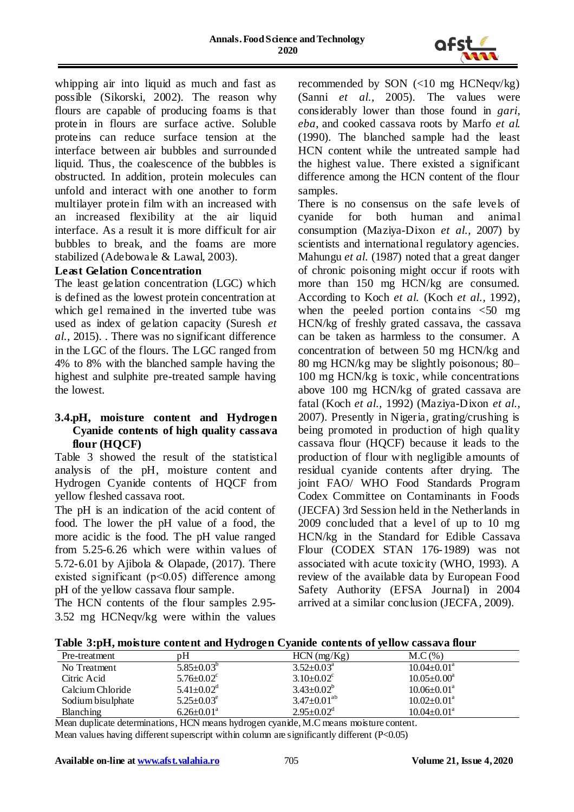

whipping air into liquid as much and fast as possible (Sikorski, 2002). The reason why flours are capable of producing foams is that protein in flours are surface active. Soluble proteins can reduce surface tension at the interface between air bubbles and surrounded liquid. Thus, the coalescence of the bubbles is obstructed. In addition, protein molecules can unfold and interact with one another to form multilayer protein film with an increased with an increased flexibility at the air liquid interface. As a result it is more difficult for air bubbles to break, and the foams are more stabilized (Adebowale & Lawal, 2003).

#### **Least Gelation Concentration**

The least gelation concentration (LGC) which is defined as the lowest protein concentration at which gel remained in the inverted tube was used as index of gelation capacity (Suresh *et al.,* 2015). . There was no significant difference in the LGC of the flours. The LGC ranged from 4% to 8% with the blanched sample having the highest and sulphite pre-treated sample having the lowest.

#### **3.4.pH, moisture content and Hydrogen Cyanide contents of high quality cassava flour (HQCF)**

Table 3 showed the result of the statistical analysis of the pH, moisture content and Hydrogen Cyanide contents of HQCF from yellow fleshed cassava root.

The pH is an indication of the acid content of food. The lower the pH value of a food, the more acidic is the food. The pH value ranged from 5.25-6.26 which were within values of 5.72-6.01 by Ajibola & Olapade, (2017). There existed significant (p˂0.05) difference among pH of the yellow cassava flour sample.

The HCN contents of the flour samples 2.95- 3.52 mg HCNeqv/kg were within the values recommended by SON (<10 mg HCNeqv/kg) (Sanni *et al.*, 2005). The values were considerably lower than those found in *gari*, *eba*, and cooked cassava roots by Marfo *et al.* (1990). The blanched sample had the least HCN content while the untreated sample had the highest value. There existed a significant difference among the HCN content of the flour samples.

There is no consensus on the safe levels of cyanide for both human and animal consumption (Maziya-Dixon *et al.,* 2007) by scientists and international regulatory agencies. Mahungu *et al.* (1987) noted that a great danger of chronic poisoning might occur if roots with more than 150 mg HCN/kg are consumed. According to Koch *et al.* (Koch *et al.*, 1992), when the peeled portion contains  $\leq 50$  mg HCN/kg of freshly grated cassava, the cassava can be taken as harmless to the consumer. A concentration of between 50 mg HCN/kg and 80 mg HCN/kg may be slightly poisonous; 80– 100 mg HCN/kg is toxic, while concentrations above 100 mg HCN/kg of grated cassava are fatal (Koch *et al.,* 1992) (Maziya-Dixon *et al.,* 2007). Presently in Nigeria, grating/crushing is being promoted in production of high quality cassava flour (HQCF) because it leads to the production of flour with negligible amounts of residual cyanide contents after drying. The joint FAO/ WHO Food Standards Program Codex Committee on Contaminants in Foods (JECFA) 3rd Session held in the Netherlands in 2009 concluded that a level of up to 10 mg HCN/kg in the Standard for Edible Cassava Flour (CODEX STAN 176-1989) was not associated with acute toxicity (WHO, 1993). A review of the available data by European Food Safety Authority (EFSA Journal) in 2004 arrived at a similar conclusion (JECFA, 2009).

|  | Table 3:pH, moisture content and Hydrogen Cyanide contents of yellow cassava flour |  |  |  |  |  |
|--|------------------------------------------------------------------------------------|--|--|--|--|--|
|  |                                                                                    |  |  |  |  |  |

| Pre-treatment     | pΗ                           | $HCN$ (mg/ $Kg$ )            | M.C(%)                      |
|-------------------|------------------------------|------------------------------|-----------------------------|
| No Treatment      | $5.85 \pm 0.03^{\circ}$      | $3.52 \pm 0.03^{\circ}$      | $10.04 \pm 0.01^{\circ}$    |
| Citric Acid       | $5.76 \pm 0.02$ <sup>c</sup> | $3.10\pm0.02^c$              | $10.05 \pm 0.00^a$          |
| Calcium Chloride  | $5.41 \pm 0.02$ <sup>d</sup> | $3.43 \pm 0.02^b$            | $10.06 \pm 0.01^{\circ}$    |
| Sodium bisulphate | $5.25 \pm 0.03^e$            | $3.47 \pm 0.01^{ab}$         | $10.02 \pm 0.01^{\text{a}}$ |
| <b>Blanching</b>  | $6.26 \pm 0.01^{\circ}$      | $2.95 \pm 0.02$ <sup>d</sup> | $10.04 \pm 0.01^{\text{a}}$ |

Mean duplicate determinations, HCN means hydrogen cyanide, M.C means moisture content. Mean values having different superscript within column are significantly different (P<0.05)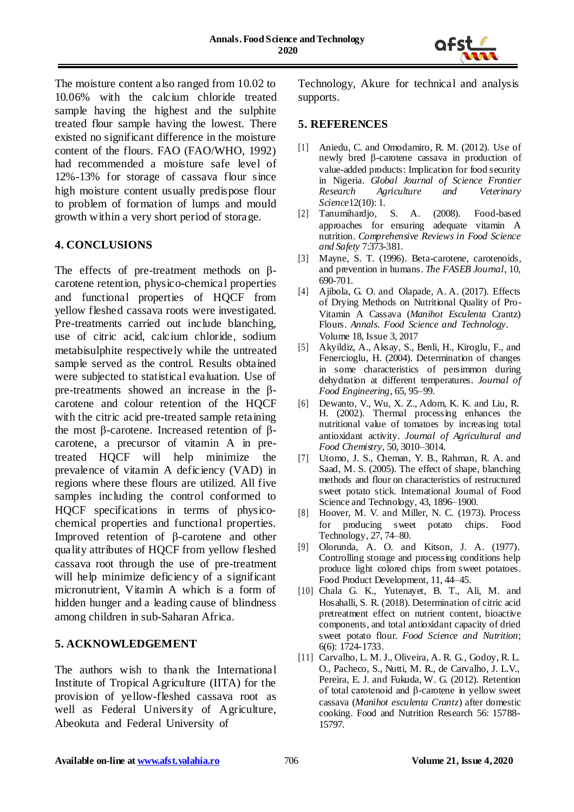

The moisture content also ranged from 10.02 to 10.06% with the calcium chloride treated sample having the highest and the sulphite treated flour sample having the lowest. There existed no significant difference in the moisture content of the flours. FAO (FAO/WHO, 1992) had recommended a moisture safe level of 12%-13% for storage of cassava flour since high moisture content usually predispose flour to problem of formation of lumps and mould growth within a very short period of storage.

# **4. CONCLUSIONS**

The effects of pre-treatment methods on βcarotene retention, physico-chemical properties and functional properties of HQCF from yellow fleshed cassava roots were investigated. Pre-treatments carried out include blanching, use of citric acid, calcium chloride, sodium metabisulphite respectively while the untreated sample served as the control. Results obtained were subjected to statistical evaluation. Use of pre-treatments showed an increase in the βcarotene and colour retention of the HQCF with the citric acid pre-treated sample retaining the most β-carotene. Increased retention of βcarotene, a precursor of vitamin A in pretreated HQCF will help minimize the prevalence of vitamin A deficiency (VAD) in regions where these flours are utilized. All five samples including the control conformed to HQCF specifications in terms of physicochemical properties and functional properties. Improved retention of β-carotene and other quality attributes of HQCF from yellow fleshed cassava root through the use of pre-treatment will help minimize deficiency of a significant micronutrient, Vitamin A which is a form of hidden hunger and a leading cause of blindness among children in sub-Saharan Africa.

#### **5. ACKNOWLEDGEMENT**

The authors wish to thank the International Institute of Tropical Agriculture (IITA) for the provision of yellow-fleshed cassava root as well as Federal University of Agriculture, Abeokuta and Federal University of

Technology, Akure for technical and analysis supports.

### **5. REFERENCES**

- [1] Aniedu, C. and Omodamiro, R. M. (2012). Use of newly bred β-carotene cassava in production of value-added products: Implication for food security in Nigeria. *Global Journal of Science Frontier Research Agriculture and Veterinary Science*12(10): 1.
- [2] Tanumihardjo, S. A. (2008). Food-based approaches for ensuring adequate vitamin A nutrition. *Comprehensive Reviews in Food Science and Safety* 7:373-381.
- [3] Mayne, S. T. (1996). Beta-carotene, carotenoids, and prevention in humans. *The FASEB Journal,* 10, 690-701.
- [4] Ajibola, G. O. and Olapade, A. A. (2017). Effects of Drying Methods on Nutritional Quality of Pro-Vitamin A Cassava (*Manihot Esculenta* Crantz) Flours. *Annals. Food Science and Technology*. Volume 18, Issue 3, 2017
- [5] Akyildiz, A., Aksay, S., Benli, H., Kiroglu, F., and Fenercioglu, H. (2004). Determination of changes in some characteristics of persimmon during dehydration at different temperatures. *Journal of Food Engineering*, 65, 95–99.
- [6] Dewanto, V., Wu, X. Z., Adom, K. K. and Liu, R. H. (2002). Thermal processing enhances the nutritional value of tomatoes by increasing total antioxidant activity. *Journal of Agricultural and Food Chemistry,* 50, 3010–3014.
- [7] Utomo, J. S., Cheman, Y. B., Rahman, R. A. and Saad, M. S. (2005). The effect of shape, blanching methods and flour on characteristics of restructured sweet potato stick. International Journal of Food Science and Technology, 43, 1896–1900.
- [8] Hoover, M. V. and Miller, N. C. (1973). Process for producing sweet potato chips. Food Technology, 27, 74–80.
- [9] Olorunda, A. O. and Kitson, J. A. (1977). Controlling storage and processing conditions help produce light colored chips from sweet potatoes. Food Product Development, 11, 44–45.
- [10] Chala G. K., Yutenayet, B. T., Ali, M. and Hosahalli, S. R. (2018). Determination of citric acid pretreatment effect on nutrient content, bioactive components, and total antioxidant capacity of dried sweet potato flour. *Food Science and Nutrition*; 6(6): 1724-1733.
- [11] Carvalho, L. M. J., Oliveira, A. R. G., Godoy, R. L. O., Pacheco, S., Nutti, M. R., de Carvalho, J. L.V., Pereira, E. J. and Fukuda, W. G. (2012). Retention of total carotenoid and β-carotene in yellow sweet cassava (*Manihot esculenta Crantz*) after domestic cooking. Food and Nutrition Research 56: 15788- 15797.